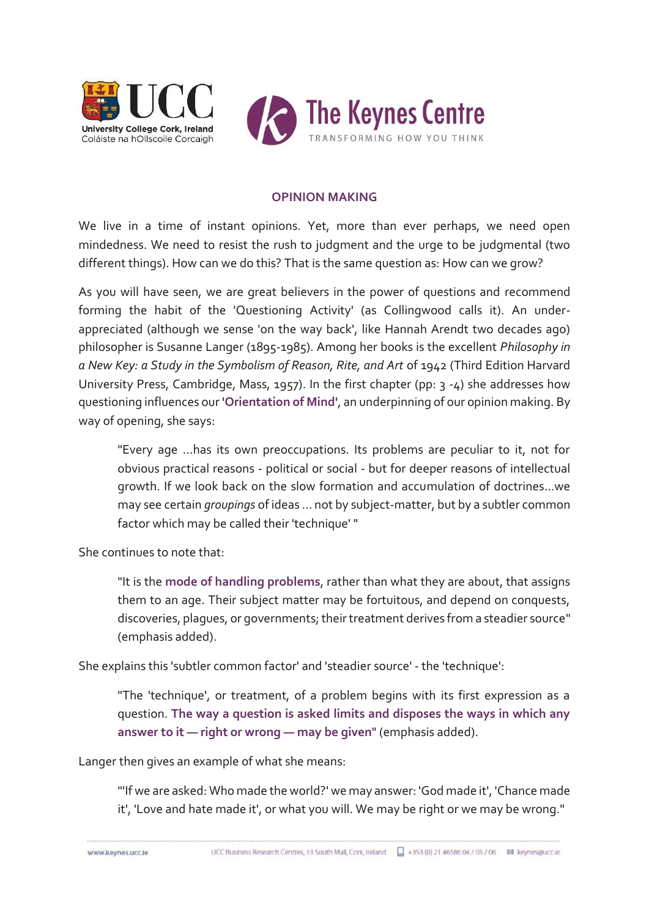

## **OPINION MAKING**

We live in a time of instant opinions. Yet, more than ever perhaps, we need open mindedness. We need to resist the rush to judgment and the urge to be judgmental (two different things). How can we do this? That is the same question as: How can we grow?

As you will have seen, we are great believers in the power of questions and recommend forming the habit of the 'Questioning Activity' (as Collingwood calls it). An underappreciated (although we sense 'on the way back', like Hannah Arendt two decades ago) philosopher is Susanne Langer (1895-1985). Among her books is the excellent *Philosophy in a New Key: a Study in the Symbolism of Reason, Rite, and Art* of 1942 (Third Edition Harvard University Press, Cambridge, Mass, 1957). In the first chapter (pp: 3 -4) she addresses how questioning influences our **'Orientation of Mind'**, an underpinning of our opinion making. By way of opening, she says:

"Every age ...has its own preoccupations. Its problems are peculiar to it, not for obvious practical reasons - political or social - but for deeper reasons of intellectual growth. If we look back on the slow formation and accumulation of doctrines...we may see certain *groupings* of ideas ... not by subject-matter, but by a subtler common factor which may be called their 'technique' "

She continues to note that:

"It is the **mode of handling problems**, rather than what they are about, that assigns them to an age. Their subject matter may be fortuitous, and depend on conquests, discoveries, plagues, or governments; their treatment derives from a steadier source" (emphasis added).

She explains this 'subtler common factor' and 'steadier source' - the 'technique':

"The 'technique', or treatment, of a problem begins with its first expression as a question. **The way a question is asked limits and disposes the ways in which any answer to it — right or wrong — may be given**" (emphasis added).

Langer then gives an example of what she means:

"'If we are asked: Who made the world?' we may answer: 'God made it', 'Chance made it', 'Love and hate made it', or what you will. We may be right or we may be wrong."